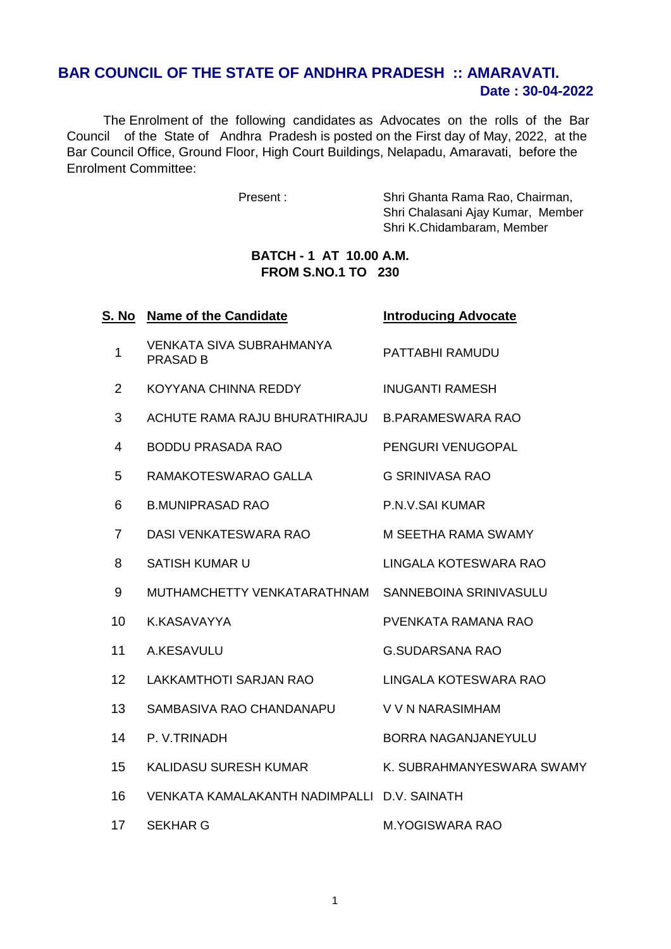## **Date : 30-04-2022 BAR COUNCIL OF THE STATE OF ANDHRA PRADESH :: AMARAVATI.**

 The Enrolment of the following candidates as Advocates on the rolls of the Bar Council of the State of Andhra Pradesh is posted on the First day of May, 2022, at the Bar Council Office, Ground Floor, High Court Buildings, Nelapadu, Amaravati, before the Enrolment Committee:

Present : Shri Ghanta Rama Rao, Chairman, Shri Chalasani Ajay Kumar, Member Shri K.Chidambaram, Member

## **BATCH - 1 AT 10.00 A.M. FROM S.NO.1 TO 230**

| S. No           | <b>Name of the Candidate</b>                | <b>Introducing Advocate</b> |
|-----------------|---------------------------------------------|-----------------------------|
| 1               | VENKATA SIVA SUBRAHMANYA<br><b>PRASAD B</b> | PATTABHI RAMUDU             |
| $\overline{2}$  | KOYYANA CHINNA REDDY                        | <b>INUGANTI RAMESH</b>      |
| 3               | ACHUTE RAMA RAJU BHURATHIRAJU               | <b>B.PARAMESWARA RAO</b>    |
| 4               | <b>BODDU PRASADA RAO</b>                    | PENGURI VENUGOPAL           |
| 5               | RAMAKOTESWARAO GALLA                        | <b>G SRINIVASA RAO</b>      |
| 6               | <b>B.MUNIPRASAD RAO</b>                     | P.N.V.SAI KUMAR             |
| $\overline{7}$  | DASI VENKATESWARA RAO                       | M SEETHA RAMA SWAMY         |
| 8               | <b>SATISH KUMAR U</b>                       | LINGALA KOTESWARA RAO       |
| 9               | MUTHAMCHETTY VENKATARATHNAM                 | SANNEBOINA SRINIVASULU      |
| 10              | K.KASAVAYYA                                 | PVENKATA RAMANA RAO         |
| 11              | A.KESAVULU                                  | <b>G.SUDARSANA RAO</b>      |
| 12 <sup>2</sup> | LAKKAMTHOTI SARJAN RAO                      | LINGALA KOTESWARA RAO       |
| 13              | SAMBASIVA RAO CHANDANAPU                    | V V N NARASIMHAM            |
| 14              | P. V.TRINADH                                | <b>BORRA NAGANJANEYULU</b>  |
| 15              | KALIDASU SURESH KUMAR                       | K. SUBRAHMANYESWARA SWAMY   |
| 16              | VENKATA KAMALAKANTH NADIMPALLI D.V. SAINATH |                             |
| 17              | <b>SEKHAR G</b>                             | <b>M.YOGISWARA RAO</b>      |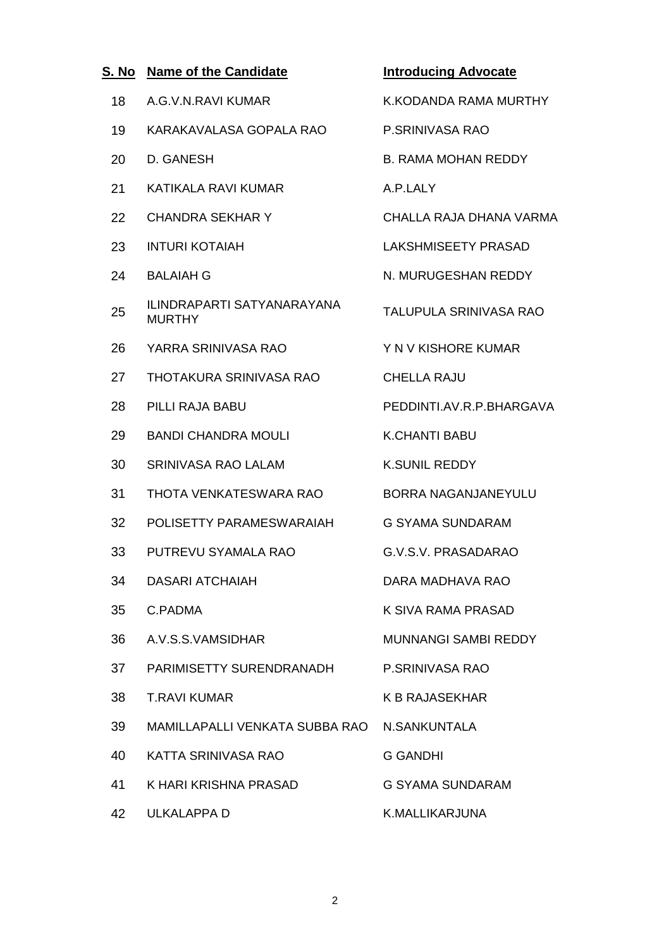| S <u>. No</u> | <b>Name of the Candidate</b>                       | <b>Introducing Advocate</b>  |
|---------------|----------------------------------------------------|------------------------------|
| 18            | A.G.V.N.RAVI KUMAR                                 | <b>K.KODANDA RAMA MURTHY</b> |
| 19            | KARAKAVALASA GOPALA RAO                            | P.SRINIVASA RAO              |
| 20            | D. GANESH                                          | <b>B. RAMA MOHAN REDDY</b>   |
| 21            | KATIKALA RAVI KUMAR                                | A.P.LALY                     |
| 22            | <b>CHANDRA SEKHAR Y</b>                            | CHALLA RAJA DHANA VARMA      |
| 23            | <b>INTURI KOTAIAH</b>                              | <b>LAKSHMISEETY PRASAD</b>   |
| 24            | <b>BALAIAH G</b>                                   | N. MURUGESHAN REDDY          |
| 25            | <b>ILINDRAPARTI SATYANARAYANA</b><br><b>MURTHY</b> | TALUPULA SRINIVASA RAO       |
| 26            | YARRA SRINIVASA RAO                                | Y N V KISHORE KUMAR          |
| 27            | <b>THOTAKURA SRINIVASA RAO</b>                     | <b>CHELLA RAJU</b>           |
| 28            | PILLI RAJA BABU                                    | PEDDINTI.AV.R.P.BHARGAVA     |
| 29            | <b>BANDI CHANDRA MOULI</b>                         | <b>K.CHANTI BABU</b>         |
| 30            | <b>SRINIVASA RAO LALAM</b>                         | <b>K.SUNIL REDDY</b>         |
| 31            | THOTA VENKATESWARA RAO                             | BORRA NAGANJANEYULU          |
| 32            | POLISETTY PARAMESWARAIAH                           | <b>G SYAMA SUNDARAM</b>      |
| 33            | PUTREVU SYAMALA RAO                                | G.V.S.V. PRASADARAO          |
| 34            | <b>DASARI ATCHAIAH</b>                             | DARA MADHAVA RAO             |
| 35            | C.PADMA                                            | K SIVA RAMA PRASAD           |
| 36            | A.V.S.S.VAMSIDHAR                                  | <b>MUNNANGI SAMBI REDDY</b>  |
| 37            | PARIMISETTY SURENDRANADH                           | P.SRINIVASA RAO              |
| 38            | <b>T.RAVI KUMAR</b>                                | <b>K B RAJASEKHAR</b>        |
| 39            | MAMILLAPALLI VENKATA SUBBA RAO                     | N.SANKUNTALA                 |
| 40            | KATTA SRINIVASA RAO                                | <b>G GANDHI</b>              |
| 41            | K HARI KRISHNA PRASAD                              | <b>G SYAMA SUNDARAM</b>      |
| 42            | ULKALAPPA D                                        | K.MALLIKARJUNA               |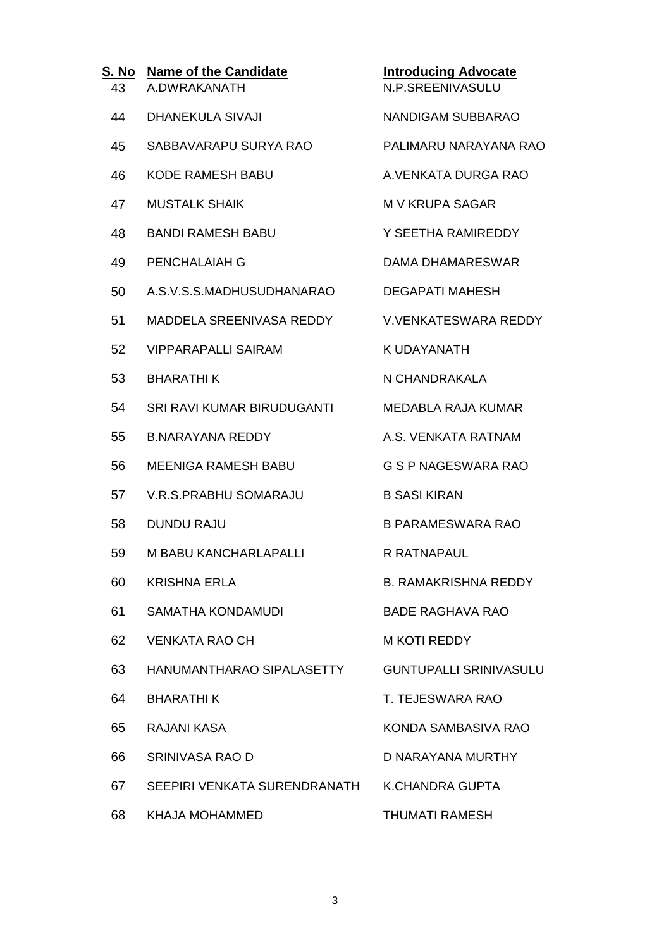| S. No<br>43 | <b>Name of the Candidate</b><br>A.DWRAKANATH | <b>Introducing Advocate</b><br>N.P.SREENIVASULU |
|-------------|----------------------------------------------|-------------------------------------------------|
| 44          | <b>DHANEKULA SIVAJI</b>                      | <b>NANDIGAM SUBBARAO</b>                        |
| 45          | SABBAVARAPU SURYA RAO                        | PALIMARU NARAYANA RAO                           |
| 46          | <b>KODE RAMESH BABU</b>                      | A. VENKATA DURGA RAO                            |
| 47          | <b>MUSTALK SHAIK</b>                         | <b>M V KRUPA SAGAR</b>                          |
| 48          | <b>BANDI RAMESH BABU</b>                     | Y SEETHA RAMIREDDY                              |
| 49          | PENCHALAIAH G                                | <b>DAMA DHAMARESWAR</b>                         |
| 50          | A.S.V.S.S.MADHUSUDHANARAO                    | <b>DEGAPATI MAHESH</b>                          |
| 51          | <b>MADDELA SREENIVASA REDDY</b>              | <b>V.VENKATESWARA REDDY</b>                     |
| 52          | <b>VIPPARAPALLI SAIRAM</b>                   | <b>K UDAYANATH</b>                              |
| 53          | <b>BHARATHIK</b>                             | N CHANDRAKALA                                   |
| 54          | SRI RAVI KUMAR BIRUDUGANTI                   | <b>MEDABLA RAJA KUMAR</b>                       |
| 55          | <b>B.NARAYANA REDDY</b>                      | A.S. VENKATA RATNAM                             |
| 56          | <b>MEENIGA RAMESH BABU</b>                   | <b>G S P NAGESWARA RAO</b>                      |
| 57          | <b>V.R.S.PRABHU SOMARAJU</b>                 | <b>B SASI KIRAN</b>                             |
| 58          | <b>DUNDU RAJU</b>                            | <b>B PARAMESWARA RAO</b>                        |
| 59          | <b>M BABU KANCHARLAPALLI</b>                 | <b>R RATNAPAUL</b>                              |
| 60          | <b>KRISHNA ERLA</b>                          | <b>B. RAMAKRISHNA REDDY</b>                     |
| 61          | <b>SAMATHA KONDAMUDI</b>                     | <b>BADE RAGHAVA RAO</b>                         |
| 62          | <b>VENKATA RAO CH</b>                        | <b>M KOTI REDDY</b>                             |
| 63          | HANUMANTHARAO SIPALASETTY                    | <b>GUNTUPALLI SRINIVASULU</b>                   |
| 64          | <b>BHARATHIK</b>                             | T. TEJESWARA RAO                                |
| 65          | RAJANI KASA                                  | KONDA SAMBASIVA RAO                             |
| 66          | SRINIVASA RAO D                              | D NARAYANA MURTHY                               |
| 67          | SEEPIRI VENKATA SURENDRANATH                 | K.CHANDRA GUPTA                                 |
| 68          | <b>KHAJA MOHAMMED</b>                        | <b>THUMATI RAMESH</b>                           |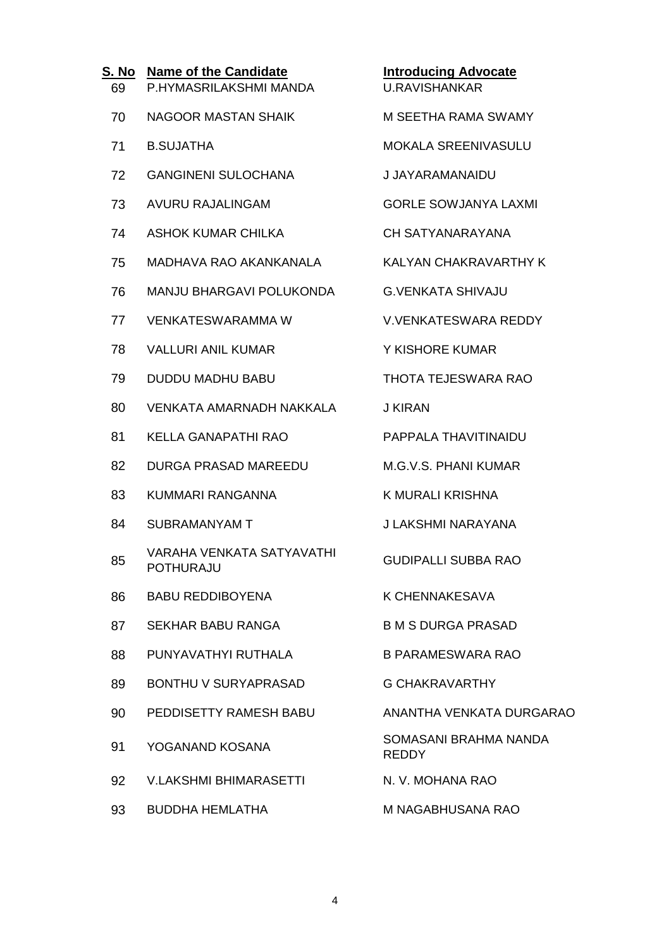| S. No<br>69 | <b>Name of the Candidate</b><br>P.HYMASRILAKSHMI MANDA | <b>Introducing Advocate</b><br><b>U.RAVISHANKAR</b> |
|-------------|--------------------------------------------------------|-----------------------------------------------------|
| 70          | <b>NAGOOR MASTAN SHAIK</b>                             | M SEETHA RAMA SWAMY                                 |
| 71          | <b>B.SUJATHA</b>                                       | MOKALA SREENIVASULU                                 |
| 72          | <b>GANGINENI SULOCHANA</b>                             | J JAYARAMANAIDU                                     |
| 73          | AVURU RAJALINGAM                                       | <b>GORLE SOWJANYA LAXMI</b>                         |
| 74          | <b>ASHOK KUMAR CHILKA</b>                              | CH SATYANARAYANA                                    |
| 75          | MADHAVA RAO AKANKANALA                                 | <b>KALYAN CHAKRAVARTHY K</b>                        |
| 76          | MANJU BHARGAVI POLUKONDA                               | <b>G.VENKATA SHIVAJU</b>                            |
| 77          | <b>VENKATESWARAMMA W</b>                               | <b>V.VENKATESWARA REDDY</b>                         |
| 78          | <b>VALLURI ANIL KUMAR</b>                              | Y KISHORE KUMAR                                     |
| 79          | <b>DUDDU MADHU BABU</b>                                | <b>THOTA TEJESWARA RAO</b>                          |
| 80          | <b>VENKATA AMARNADH NAKKALA</b>                        | <b>J KIRAN</b>                                      |
| 81          | <b>KELLA GANAPATHI RAO</b>                             | PAPPALA THAVITINAIDU                                |
| 82          | <b>DURGA PRASAD MAREEDU</b>                            | <b>M.G.V.S. PHANI KUMAR</b>                         |
| 83          | KUMMARI RANGANNA                                       | K MURALI KRISHNA                                    |
| 84          | <b>SUBRAMANYAM T</b>                                   | J LAKSHMI NARAYANA                                  |
| 85          | <b>VARAHA VENKATA SATYAVATHI</b><br>POTHURAJU          | <b>GUDIPALLI SUBBA RAO</b>                          |
| 86          | <b>BABU REDDIBOYENA</b>                                | K CHENNAKESAVA                                      |
| 87          | <b>SEKHAR BABU RANGA</b>                               | <b>B M S DURGA PRASAD</b>                           |
| 88          | PUNYAVATHYI RUTHALA                                    | <b>B PARAMESWARA RAO</b>                            |
| 89          | <b>BONTHU V SURYAPRASAD</b>                            | <b>G CHAKRAVARTHY</b>                               |
| 90          | PEDDISETTY RAMESH BABU                                 | ANANTHA VENKATA DURGARAO                            |
| 91          | YOGANAND KOSANA                                        | SOMASANI BRAHMA NANDA<br><b>REDDY</b>               |
| 92          | <b>V.LAKSHMI BHIMARASETTI</b>                          | N. V. MOHANA RAO                                    |
| 93          | <b>BUDDHA HEMLATHA</b>                                 | M NAGABHUSANA RAO                                   |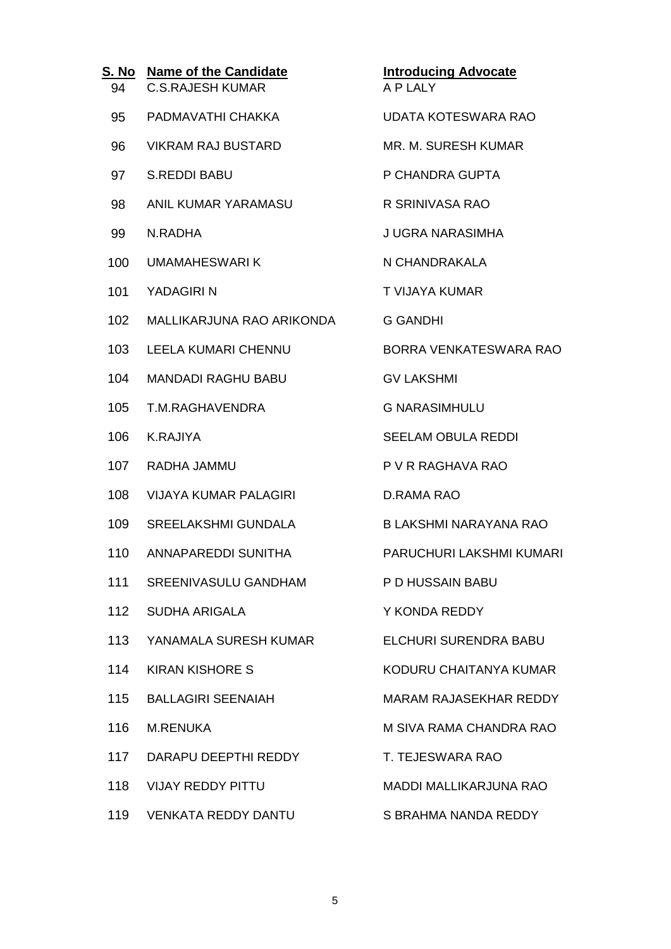| S. No<br>94 | <b>Name of the Candidate</b><br><b>C.S.RAJESH KUMAR</b> | <b>Introducing Advocate</b><br>A P LALY |
|-------------|---------------------------------------------------------|-----------------------------------------|
| 95          | PADMAVATHI CHAKKA                                       | <b>UDATA KOTESWARA RAO</b>              |
| 96          | <b>VIKRAM RAJ BUSTARD</b>                               | MR. M. SURESH KUMAR                     |
| 97          | <b>S.REDDI BABU</b>                                     | P CHANDRA GUPTA                         |
| 98          | ANIL KUMAR YARAMASU                                     | R SRINIVASA RAO                         |
| 99          | N.RADHA                                                 | J UGRA NARASIMHA                        |
| 100         | <b>UMAMAHESWARIK</b>                                    | N CHANDRAKALA                           |
| 101         | YADAGIRI N                                              | T VIJAYA KUMAR                          |
| 102         | MALLIKARJUNA RAO ARIKONDA                               | <b>G GANDHI</b>                         |
| 103         | <b>LEELA KUMARI CHENNU</b>                              | BORRA VENKATESWARA RAO                  |
| 104         | <b>MANDADI RAGHU BABU</b>                               | <b>GV LAKSHMI</b>                       |
| 105         | T.M.RAGHAVENDRA                                         | <b>G NARASIMHULU</b>                    |
| 106         | <b>K.RAJIYA</b>                                         | <b>SEELAM OBULA REDDI</b>               |
| 107         | RADHA JAMMU                                             | P V R RAGHAVA RAO                       |
| 108         | <b>VIJAYA KUMAR PALAGIRI</b>                            | D.RAMA RAO                              |
| 109         | <b>SREELAKSHMI GUNDALA</b>                              | <b>B LAKSHMI NARAYANA RAO</b>           |
| 110         | ANNAPAREDDI SUNITHA                                     | PARUCHURI LAKSHMI KUMARI                |
| 111         | SREENIVASULU GANDHAM                                    | P D HUSSAIN BABU                        |
| 112         | <b>SUDHA ARIGALA</b>                                    | Y KONDA REDDY                           |
| 113         | YANAMALA SURESH KUMAR                                   | ELCHURI SURENDRA BABU                   |
| 114         | <b>KIRAN KISHORE S</b>                                  | KODURU CHAITANYA KUMAR                  |
| 115         | <b>BALLAGIRI SEENAIAH</b>                               | <b>MARAM RAJASEKHAR REDDY</b>           |
| 116         | <b>M.RENUKA</b>                                         | M SIVA RAMA CHANDRA RAO                 |
| 117         | DARAPU DEEPTHI REDDY                                    | T. TEJESWARA RAO                        |
| 118         | <b>VIJAY REDDY PITTU</b>                                | <b>MADDI MALLIKARJUNA RAO</b>           |
| 119         | <b>VENKATA REDDY DANTU</b>                              | S BRAHMA NANDA REDDY                    |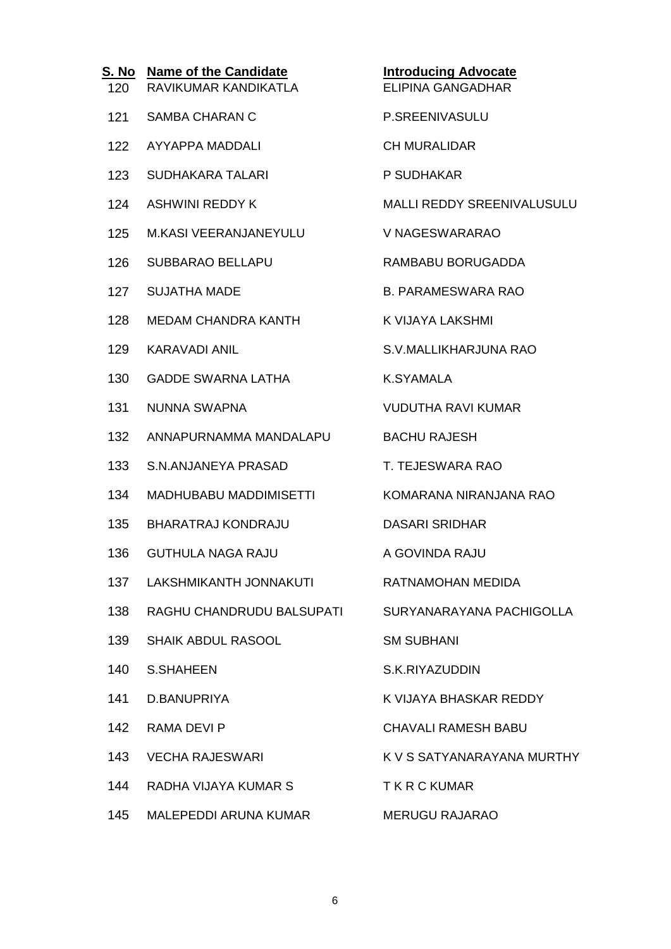| <u>S. No</u><br>120 | <b>Name of the Candidate</b><br>RAVIKUMAR KANDIKATLA | <b>Introducing Advocate</b><br><b>ELIPINA GANGADHAR</b> |
|---------------------|------------------------------------------------------|---------------------------------------------------------|
| 121                 | <b>SAMBA CHARAN C</b>                                | P.SREENIVASULU                                          |
| 122                 | <b>AYYAPPA MADDALI</b>                               | <b>CH MURALIDAR</b>                                     |
| 123                 | <b>SUDHAKARA TALARI</b>                              | P SUDHAKAR                                              |
| 124                 | <b>ASHWINI REDDY K</b>                               | MALLI REDDY SREENIVALUSULU                              |
| 125                 | M.KASI VEERANJANEYULU                                | V NAGESWARARAO                                          |
| 126                 | <b>SUBBARAO BELLAPU</b>                              | RAMBABU BORUGADDA                                       |
| 127                 | <b>SUJATHA MADE</b>                                  | <b>B. PARAMESWARA RAO</b>                               |
| 128                 | <b>MEDAM CHANDRA KANTH</b>                           | K VIJAYA LAKSHMI                                        |
| 129                 | <b>KARAVADI ANIL</b>                                 | S.V.MALLIKHARJUNA RAO                                   |
| 130                 | <b>GADDE SWARNA LATHA</b>                            | <b>K.SYAMALA</b>                                        |
| 131                 | NUNNA SWAPNA                                         | <b>VUDUTHA RAVI KUMAR</b>                               |
| 132                 | ANNAPURNAMMA MANDALAPU                               | <b>BACHU RAJESH</b>                                     |
| 133                 | S.N.ANJANEYA PRASAD                                  | T. TEJESWARA RAO                                        |
| 134                 | MADHUBABU MADDIMISETTI                               | KOMARANA NIRANJANA RAO                                  |
| 135                 | <b>BHARATRAJ KONDRAJU</b>                            | <b>DASARI SRIDHAR</b>                                   |
| 136                 | <b>GUTHULA NAGA RAJU</b>                             | A GOVINDA RAJU                                          |
| 137                 | LAKSHMIKANTH JONNAKUTI                               | RATNAMOHAN MEDIDA                                       |
| 138                 | RAGHU CHANDRUDU BALSUPATI                            | SURYANARAYANA PACHIGOLLA                                |
| 139                 | <b>SHAIK ABDUL RASOOL</b>                            | <b>SM SUBHANI</b>                                       |
| 140                 | <b>S.SHAHEEN</b>                                     | S.K.RIYAZUDDIN                                          |
| 141                 | D.BANUPRIYA                                          | K VIJAYA BHASKAR REDDY                                  |
| 142                 | <b>RAMA DEVI P</b>                                   | <b>CHAVALI RAMESH BABU</b>                              |
| 143                 | <b>VECHA RAJESWARI</b>                               | K V S SATYANARAYANA MURTHY                              |
| 144                 | RADHA VIJAYA KUMAR S                                 | <b>TKRCKUMAR</b>                                        |
| 145                 | MALEPEDDI ARUNA KUMAR                                | <b>MERUGU RAJARAO</b>                                   |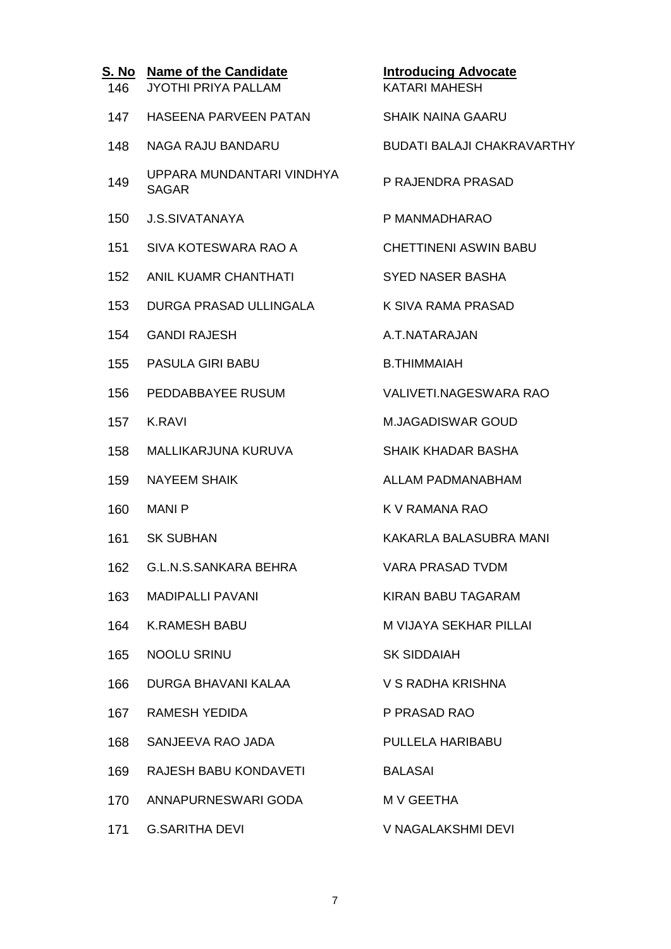| 146 | S. No Name of the Candidate<br><b>JYOTHI PRIYA PALLAM</b> | <b>Introducing Advocate</b><br><b>KATARI MAHESH</b> |
|-----|-----------------------------------------------------------|-----------------------------------------------------|
| 147 | HASEENA PARVEEN PATAN                                     | <b>SHAIK NAINA GAARU</b>                            |
| 148 | <b>NAGA RAJU BANDARU</b>                                  | <b>BUDATI BALAJI CHAKRAVARTHY</b>                   |
| 149 | UPPARA MUNDANTARI VINDHYA<br><b>SAGAR</b>                 | P RAJENDRA PRASAD                                   |
| 150 | <b>J.S.SIVATANAYA</b>                                     | P MANMADHARAO                                       |
| 151 | SIVA KOTESWARA RAO A                                      | <b>CHETTINENI ASWIN BABU</b>                        |
| 152 | ANIL KUAMR CHANTHATI                                      | <b>SYED NASER BASHA</b>                             |
| 153 | DURGA PRASAD ULLINGALA                                    | K SIVA RAMA PRASAD                                  |
| 154 | <b>GANDI RAJESH</b>                                       | A.T.NATARAJAN                                       |
| 155 | <b>PASULA GIRI BABU</b>                                   | <b>B.THIMMAIAH</b>                                  |
| 156 | PEDDABBAYEE RUSUM                                         | <b>VALIVETI.NAGESWARA RAO</b>                       |
| 157 | <b>K.RAVI</b>                                             | <b>M.JAGADISWAR GOUD</b>                            |
| 158 | MALLIKARJUNA KURUVA                                       | <b>SHAIK KHADAR BASHA</b>                           |
| 159 | <b>NAYEEM SHAIK</b>                                       | <b>ALLAM PADMANABHAM</b>                            |
| 160 | <b>MANIP</b>                                              | K V RAMANA RAO                                      |
| 161 | <b>SK SUBHAN</b>                                          | KAKARLA BALASUBRA MANI                              |
|     | 162 G.L.N.S.SANKARA BEHRA                                 | VARA PRASAD TVDM                                    |
| 163 | MADIPALLI PAVANI                                          | <b>KIRAN BABU TAGARAM</b>                           |
| 164 | <b>K.RAMESH BABU</b>                                      | <b>M VIJAYA SEKHAR PILLAI</b>                       |
| 165 | <b>NOOLU SRINU</b>                                        | <b>SK SIDDAIAH</b>                                  |
| 166 | DURGA BHAVANI KALAA                                       | V S RADHA KRISHNA                                   |
|     | 167 RAMESH YEDIDA                                         | P PRASAD RAO                                        |
| 168 | SANJEEVA RAO JADA                                         | PULLELA HARIBABU                                    |
| 169 | RAJESH BABU KONDAVETI                                     | <b>BALASAI</b>                                      |
| 170 | ANNAPURNESWARI GODA                                       | M V GEETHA                                          |
| 171 | <b>G.SARITHA DEVI</b>                                     | V NAGALAKSHMI DEVI                                  |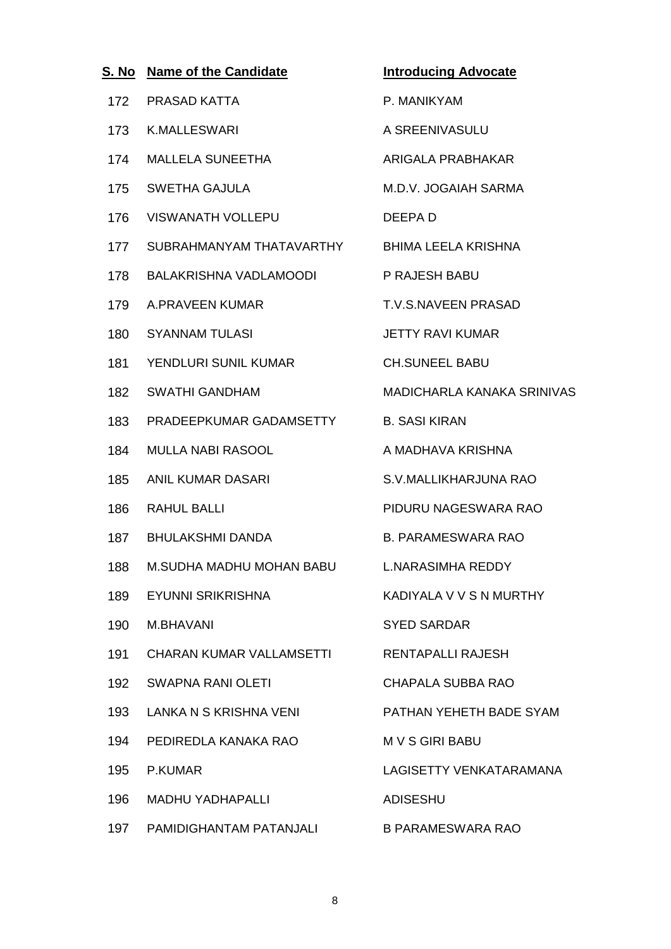| S. No | <b>Name of the Candidate</b>    | <b>Introducing Advocate</b> |
|-------|---------------------------------|-----------------------------|
| 172   | PRASAD KATTA                    | P. MANIKYAM                 |
| 173   | <b>K.MALLESWARI</b>             | A SREENIVASULU              |
| 174   | <b>MALLELA SUNEETHA</b>         | <b>ARIGALA PRABHAKAR</b>    |
| 175   | <b>SWETHA GAJULA</b>            | M.D.V. JOGAIAH SARMA        |
| 176   | <b>VISWANATH VOLLEPU</b>        | DEEPA D                     |
| 177   | SUBRAHMANYAM THATAVARTHY        | BHIMA LEELA KRISHNA         |
| 178   | BALAKRISHNA VADLAMOODI          | P RAJESH BABU               |
| 179   | A.PRAVEEN KUMAR                 | T.V.S.NAVEEN PRASAD         |
| 180   | <b>SYANNAM TULASI</b>           | <b>JETTY RAVI KUMAR</b>     |
| 181   | YENDLURI SUNIL KUMAR            | <b>CH.SUNEEL BABU</b>       |
| 182   | <b>SWATHI GANDHAM</b>           | MADICHARLA KANAKA SRINIVAS  |
| 183   | PRADEEPKUMAR GADAMSETTY         | <b>B. SASI KIRAN</b>        |
| 184   | <b>MULLA NABI RASOOL</b>        | A MADHAVA KRISHNA           |
| 185   | <b>ANIL KUMAR DASARI</b>        | S.V.MALLIKHARJUNA RAO       |
| 186   | <b>RAHUL BALLI</b>              | PIDURU NAGESWARA RAO        |
| 187   | <b>BHULAKSHMI DANDA</b>         | <b>B. PARAMESWARA RAO</b>   |
| 188   | <b>M.SUDHA MADHU MOHAN BABU</b> | <b>L.NARASIMHA REDDY</b>    |
| 189   | EYUNNI SRIKRISHNA               | KADIYALA V V S N MURTHY     |
| 190   | M.BHAVANI                       | <b>SYED SARDAR</b>          |
| 191   | <b>CHARAN KUMAR VALLAMSETTI</b> | <b>RENTAPALLI RAJESH</b>    |
| 192   | <b>SWAPNA RANI OLETI</b>        | <b>CHAPALA SUBBA RAO</b>    |
| 193   | LANKA N S KRISHNA VENI          | PATHAN YEHETH BADE SYAM     |
| 194   | PEDIREDLA KANAKA RAO            | <b>MVSGIRIBABU</b>          |
| 195   | P.KUMAR                         | LAGISETTY VENKATARAMANA     |
| 196   | <b>MADHU YADHAPALLI</b>         | <b>ADISESHU</b>             |
|       | 197 PAMIDIGHANTAM PATANJALI     | <b>B PARAMESWARA RAO</b>    |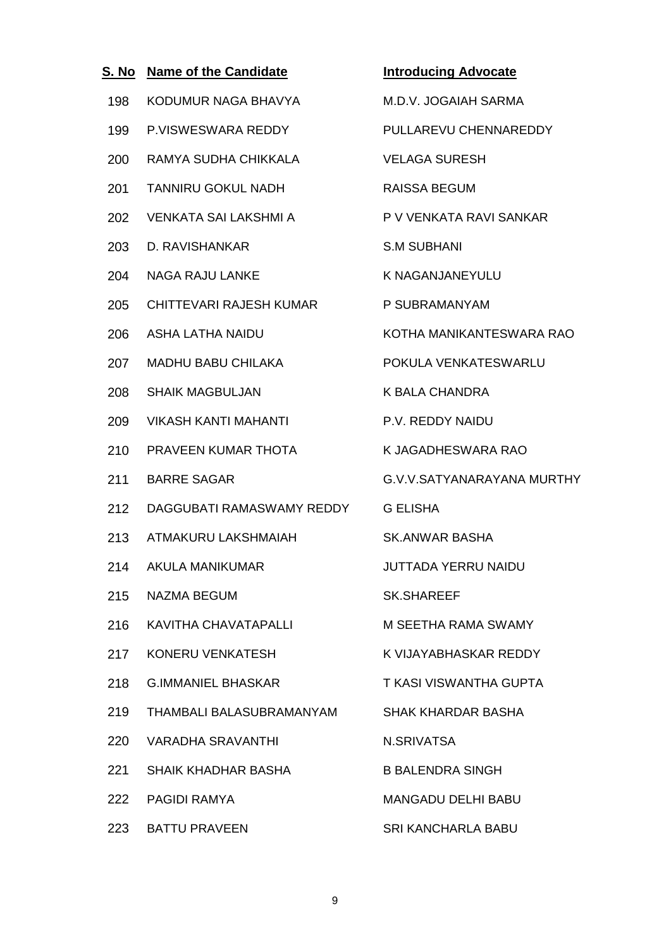| S. No | <b>Name of the Candidate</b> | <b>Introducing Advocate</b> |
|-------|------------------------------|-----------------------------|
| 198   | KODUMUR NAGA BHAVYA          | M.D.V. JOGAIAH SARMA        |
| 199   | P.VISWESWARA REDDY           | PULLAREVU CHENNAREDDY       |
| 200   | RAMYA SUDHA CHIKKALA         | <b>VELAGA SURESH</b>        |
| 201   | <b>TANNIRU GOKUL NADH</b>    | <b>RAISSA BEGUM</b>         |
| 202   | <b>VENKATA SAI LAKSHMI A</b> | P V VENKATA RAVI SANKAR     |
| 203   | D. RAVISHANKAR               | <b>S.M SUBHANI</b>          |
| 204   | <b>NAGA RAJU LANKE</b>       | <b>K NAGANJANEYULU</b>      |
| 205   | CHITTEVARI RAJESH KUMAR      | P SUBRAMANYAM               |
| 206   | <b>ASHA LATHA NAIDU</b>      | KOTHA MANIKANTESWARA RAO    |
| 207   | <b>MADHU BABU CHILAKA</b>    | POKULA VENKATESWARLU        |
| 208   | <b>SHAIK MAGBULJAN</b>       | <b>K BALA CHANDRA</b>       |
| 209   | <b>VIKASH KANTI MAHANTI</b>  | <b>P.V. REDDY NAIDU</b>     |
| 210   | PRAVEEN KUMAR THOTA          | K JAGADHESWARA RAO          |
| 211   | <b>BARRE SAGAR</b>           | G.V.V.SATYANARAYANA MURTHY  |
| 212   | DAGGUBATI RAMASWAMY REDDY    | <b>G ELISHA</b>             |
| 213   | ATMAKURU LAKSHMAIAH          | SK.ANWAR BASHA              |
| 214   | <b>AKULA MANIKUMAR</b>       | <b>JUTTADA YERRU NAIDU</b>  |
| 215   | <b>NAZMA BEGUM</b>           | <b>SK.SHAREEF</b>           |
| 216   | KAVITHA CHAVATAPALLI         | M SEETHA RAMA SWAMY         |
| 217   | KONERU VENKATESH             | K VIJAYABHASKAR REDDY       |
| 218   | <b>G.IMMANIEL BHASKAR</b>    | T KASI VISWANTHA GUPTA      |
| 219   | THAMBALI BALASUBRAMANYAM     | SHAK KHARDAR BASHA          |
| 220   | VARADHA SRAVANTHI            | N.SRIVATSA                  |
| 221   | SHAIK KHADHAR BASHA          | <b>B BALENDRA SINGH</b>     |
| 222   | <b>PAGIDI RAMYA</b>          | <b>MANGADU DELHI BABU</b>   |
|       | 223 BATTU PRAVEEN            | <b>SRI KANCHARLA BABU</b>   |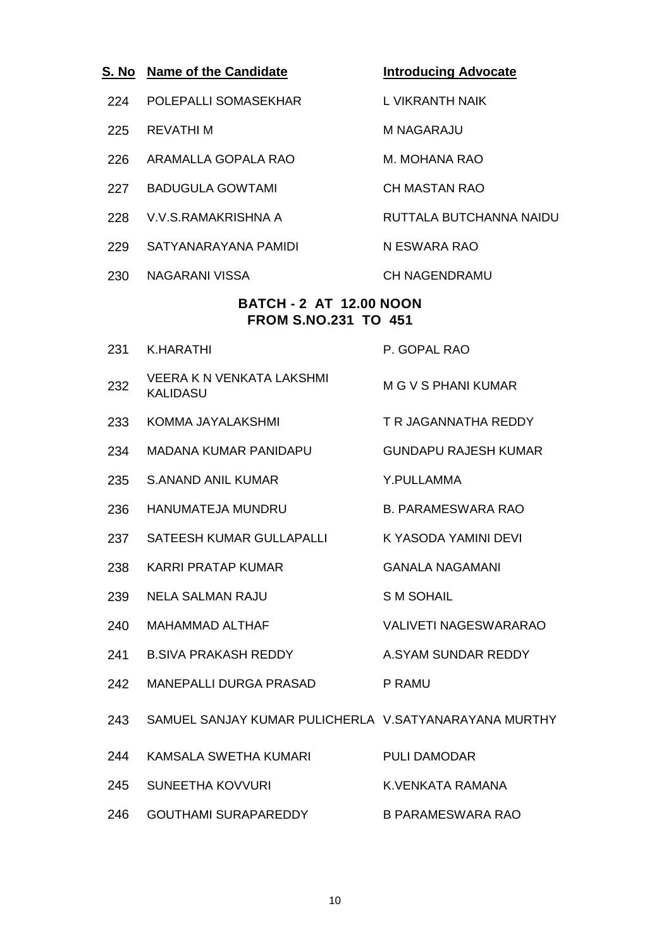| S. No | <b>Name of the Candidate</b>                                  | <b>Introducing Advocate</b>  |
|-------|---------------------------------------------------------------|------------------------------|
| 224   | POLEPALLI SOMASEKHAR                                          | L VIKRANTH NAIK              |
| 225   | <b>REVATHIM</b>                                               | M NAGARAJU                   |
| 226   | ARAMALLA GOPALA RAO                                           | M. MOHANA RAO                |
| 227   | <b>BADUGULA GOWTAMI</b>                                       | <b>CH MASTAN RAO</b>         |
| 228   | V V S RAMAKRISHNA A                                           | RUTTALA BUTCHANNA NAIDU      |
| 229   | SATYANARAYANA PAMIDI                                          | N ESWARA RAO                 |
| 230   | NAGARANI VISSA                                                | <b>CH NAGENDRAMU</b>         |
|       | <b>BATCH - 2 AT 12.00 NOON</b><br><b>FROM S.NO.231 TO 451</b> |                              |
| 231   | K.HARATHI                                                     | P. GOPAL RAO                 |
| 232   | VEERA K N VENKATA LAKSHMI<br><b>KALIDASU</b>                  | <b>M G V S PHANI KUMAR</b>   |
| 233   | KOMMA JAYALAKSHMI                                             | T R JAGANNATHA REDDY         |
| 234   | <b>MADANA KUMAR PANIDAPU</b>                                  | <b>GUNDAPU RAJESH KUMAR</b>  |
| 235   | S.ANAND ANIL KUMAR                                            | Y.PULLAMMA                   |
| 236   | <b>HANUMATEJA MUNDRU</b>                                      | <b>B. PARAMESWARA RAO</b>    |
| 237   | SATEESH KUMAR GULLAPALLI                                      | K YASODA YAMINI DEVI         |
| 238   | <b>KARRI PRATAP KUMAR</b>                                     | <b>GANALA NAGAMANI</b>       |
| 239   | <b>NELA SALMAN RAJU</b>                                       | <b>SM SOHAIL</b>             |
| 240   | <b>MAHAMMAD ALTHAF</b>                                        | <b>VALIVETI NAGESWARARAO</b> |
| 241   | <b>B.SIVA PRAKASH REDDY</b>                                   | A.SYAM SUNDAR REDDY          |
| 242   | MANEPALLI DURGA PRASAD                                        | P RAMU                       |
| 243   | SAMUEL SANJAY KUMAR PULICHERLA V.SATYANARAYANA MURTHY         |                              |
| 244   | KAMSALA SWETHA KUMARI                                         | PULI DAMODAR                 |
| 245   | <b>SUNEETHA KOVVURI</b>                                       | K.VENKATA RAMANA             |
| 246   | <b>GOUTHAMI SURAPAREDDY</b>                                   | <b>B PARAMESWARA RAO</b>     |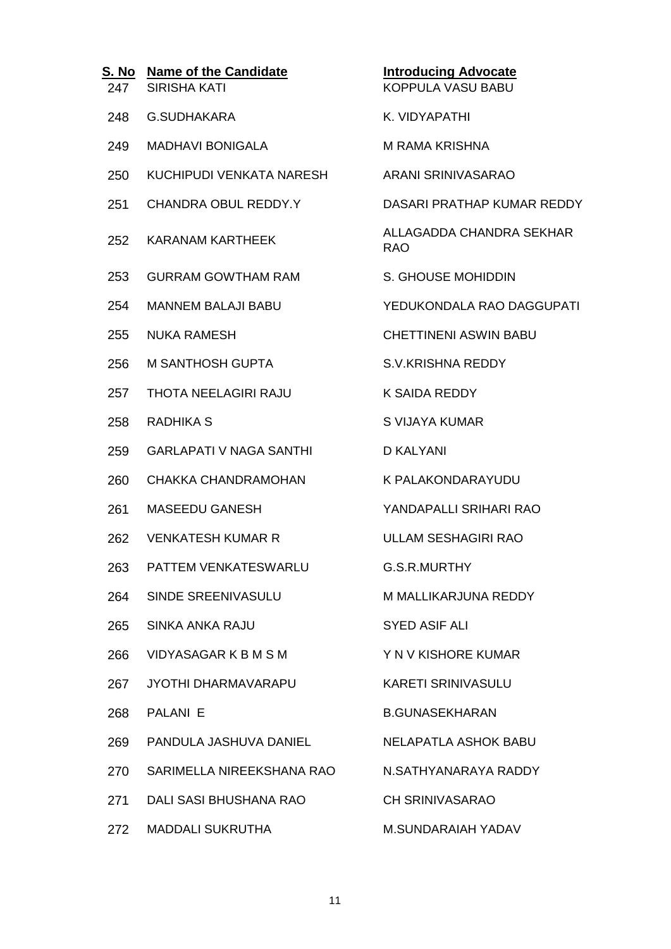| S. No<br>247 | <b>Name of the Candidate</b><br><b>SIRISHA KATI</b> | <b>Introducing Advocate</b><br><b>KOPPULA VASU BABU</b> |
|--------------|-----------------------------------------------------|---------------------------------------------------------|
| 248          | <b>G.SUDHAKARA</b>                                  | K. VIDYAPATHI                                           |
| 249          | <b>MADHAVI BONIGALA</b>                             | <b>M RAMA KRISHNA</b>                                   |
| 250          | KUCHIPUDI VENKATA NARESH                            | ARANI SRINIVASARAO                                      |
| 251          | CHANDRA OBUL REDDY.Y                                | DASARI PRATHAP KUMAR REDDY                              |
| 252          | KARANAM KARTHEEK                                    | ALLAGADDA CHANDRA SEKHAR<br><b>RAO</b>                  |
| 253          | <b>GURRAM GOWTHAM RAM</b>                           | S. GHOUSE MOHIDDIN                                      |
| 254          | <b>MANNEM BALAJI BABU</b>                           | YEDUKONDALA RAO DAGGUPATI                               |
| 255          | <b>NUKA RAMESH</b>                                  | <b>CHETTINENI ASWIN BABU</b>                            |
| 256          | <b>M SANTHOSH GUPTA</b>                             | <b>S.V.KRISHNA REDDY</b>                                |
| 257          | THOTA NEELAGIRI RAJU                                | K SAIDA REDDY                                           |
| 258          | RADHIKA S                                           | S VIJAYA KUMAR                                          |
| 259          | <b>GARLAPATI V NAGA SANTHI</b>                      | <b>D KALYANI</b>                                        |
| 260          | CHAKKA CHANDRAMOHAN                                 | K PALAKONDARAYUDU                                       |
| 261          | MASEEDU GANESH                                      | YANDAPALLI SRIHARI RAO                                  |
| 262          | <b>VENKATESH KUMAR R</b>                            | <b>ULLAM SESHAGIRI RAO</b>                              |
| 263          | PATTEM VENKATESWARLU                                | G.S.R.MURTHY                                            |
|              | 264 SINDE SREENIVASULU                              | M MALLIKARJUNA REDDY                                    |
| 265          | <b>SINKA ANKA RAJU</b>                              | <b>SYED ASIF ALI</b>                                    |
| 266          | VIDYASAGAR K B M S M                                | Y N V KISHORE KUMAR                                     |
| 267          | JYOTHI DHARMAVARAPU                                 | <b>KARETI SRINIVASULU</b>                               |
| 268          | PALANI E                                            | <b>B.GUNASEKHARAN</b>                                   |
| 269          | PANDULA JASHUVA DANIEL                              | NELAPATLA ASHOK BABU                                    |
| 270          | SARIMELLA NIREEKSHANA RAO N.SATHYANARAYA RADDY      |                                                         |
| 271          | DALI SASI BHUSHANA RAO                              | <b>CH SRINIVASARAO</b>                                  |
| 272          | <b>MADDALI SUKRUTHA</b>                             | <b>M.SUNDARAIAH YADAV</b>                               |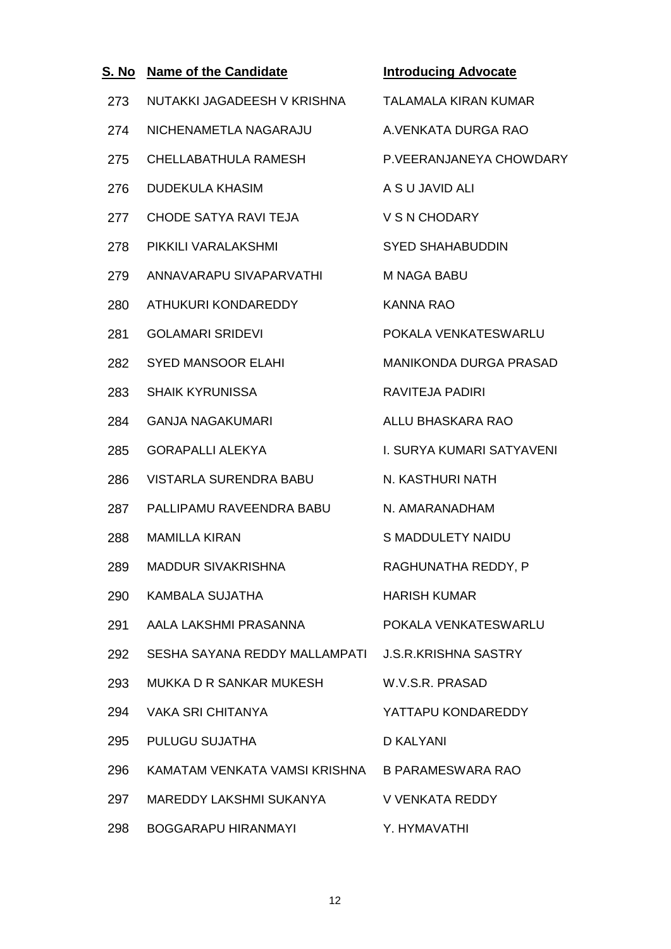| S. No | <b>Name of the Candidate</b>                       | <b>Introducing Advocate</b> |
|-------|----------------------------------------------------|-----------------------------|
| 273   | NUTAKKI JAGADEESH V KRISHNA                        | <b>TALAMALA KIRAN KUMAR</b> |
| 274   | NICHENAMETLA NAGARAJU                              | A. VENKATA DURGA RAO        |
| 275   | CHELLABATHULA RAMESH                               | P.VEERANJANEYA CHOWDARY     |
| 276   | <b>DUDEKULA KHASIM</b>                             | A S U JAVID ALI             |
| 277   | <b>CHODE SATYA RAVI TEJA</b>                       | V S N CHODARY               |
| 278   | PIKKILI VARALAKSHMI                                | <b>SYED SHAHABUDDIN</b>     |
| 279   | ANNAVARAPU SIVAPARVATHI                            | M NAGA BABU                 |
| 280   | ATHUKURI KONDAREDDY                                | <b>KANNA RAO</b>            |
| 281   | <b>GOLAMARI SRIDEVI</b>                            | POKALA VENKATESWARLU        |
| 282   | <b>SYED MANSOOR ELAHI</b>                          | MANIKONDA DURGA PRASAD      |
| 283   | <b>SHAIK KYRUNISSA</b>                             | <b>RAVITEJA PADIRI</b>      |
| 284   | <b>GANJA NAGAKUMARI</b>                            | ALLU BHASKARA RAO           |
| 285   | <b>GORAPALLI ALEKYA</b>                            | I. SURYA KUMARI SATYAVENI   |
| 286   | <b>VISTARLA SURENDRA BABU</b>                      | N. KASTHURI NATH            |
| 287   | PALLIPAMU RAVEENDRA BABU                           | N. AMARANADHAM              |
| 288   | <b>MAMILLA KIRAN</b>                               | <b>S MADDULETY NAIDU</b>    |
| 289   | MADDUR SIVAKRISHNA                                 | RAGHUNATHA REDDY, P         |
| 290   | <b>KAMBALA SUJATHA</b>                             | <b>HARISH KUMAR</b>         |
| 291   | AALA LAKSHMI PRASANNA                              | POKALA VENKATESWARLU        |
| 292   | SESHA SAYANA REDDY MALLAMPATI J.S.R.KRISHNA SASTRY |                             |
| 293   | MUKKA D R SANKAR MUKESH                            | W.V.S.R. PRASAD             |
| 294   | <b>VAKA SRI CHITANYA</b>                           | YATTAPU KONDAREDDY          |
| 295   | PULUGU SUJATHA                                     | D KALYANI                   |
| 296   | KAMATAM VENKATA VAMSI KRISHNA B PARAMESWARA RAO    |                             |
| 297   | MAREDDY LAKSHMI SUKANYA                            | <b>V VENKATA REDDY</b>      |
| 298   | <b>BOGGARAPU HIRANMAYI</b>                         | Y. HYMAVATHI                |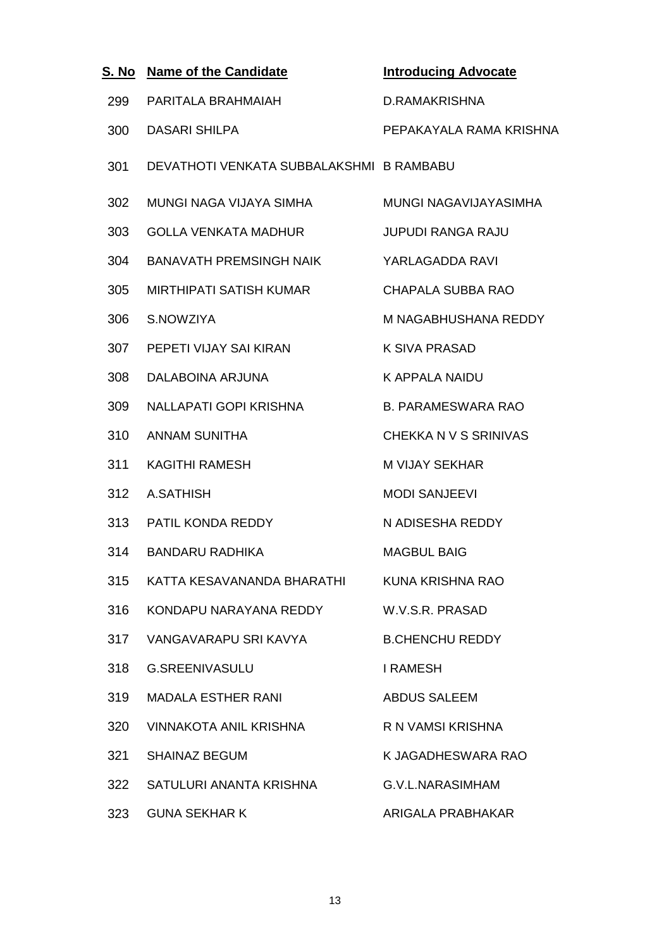| S. No | <b>Name of the Candidate</b>             | <b>Introducing Advocate</b> |
|-------|------------------------------------------|-----------------------------|
| 299   | PARITALA BRAHMAIAH                       | D.RAMAKRISHNA               |
| 300   | <b>DASARI SHILPA</b>                     | PEPAKAYALA RAMA KRISHNA     |
| 301   | DEVATHOTI VENKATA SUBBALAKSHMI B RAMBABU |                             |
| 302   | MUNGI NAGA VIJAYA SIMHA                  | MUNGI NAGAVIJAYASIMHA       |
| 303   | <b>GOLLA VENKATA MADHUR</b>              | <b>JUPUDI RANGA RAJU</b>    |
| 304   | <b>BANAVATH PREMSINGH NAIK</b>           | YARLAGADDA RAVI             |
| 305   | <b>MIRTHIPATI SATISH KUMAR</b>           | CHAPALA SUBBA RAO           |
| 306   | S.NOWZIYA                                | M NAGABHUSHANA REDDY        |
| 307   | PEPETI VIJAY SAI KIRAN                   | <b>K SIVA PRASAD</b>        |
| 308   | DALABOINA ARJUNA                         | <b>K APPALA NAIDU</b>       |
| 309   | NALLAPATI GOPI KRISHNA                   | <b>B. PARAMESWARA RAO</b>   |
| 310   | <b>ANNAM SUNITHA</b>                     | CHEKKA N V S SRINIVAS       |
| 311   | <b>KAGITHI RAMESH</b>                    | <b>M VIJAY SEKHAR</b>       |
| 312   | A.SATHISH                                | <b>MODI SANJEEVI</b>        |
| 313   | PATIL KONDA REDDY                        | N ADISESHA REDDY            |
| 314   | <b>BANDARU RADHIKA</b>                   | <b>MAGBUL BAIG</b>          |
| 315   | KATTA KESAVANANDA BHARATHI               | KUNA KRISHNA RAO            |
| 316   | KONDAPU NARAYANA REDDY                   | W.V.S.R. PRASAD             |
| 317   | VANGAVARAPU SRI KAVYA                    | <b>B.CHENCHU REDDY</b>      |
| 318   | <b>G.SREENIVASULU</b>                    | <b>I RAMESH</b>             |
| 319   | <b>MADALA ESTHER RANI</b>                | <b>ABDUS SALEEM</b>         |
| 320   | <b>VINNAKOTA ANIL KRISHNA</b>            | R N VAMSI KRISHNA           |
| 321   | <b>SHAINAZ BEGUM</b>                     | K JAGADHESWARA RAO          |
| 322   | SATULURI ANANTA KRISHNA                  | G.V.L.NARASIMHAM            |
| 323   | <b>GUNA SEKHAR K</b>                     | ARIGALA PRABHAKAR           |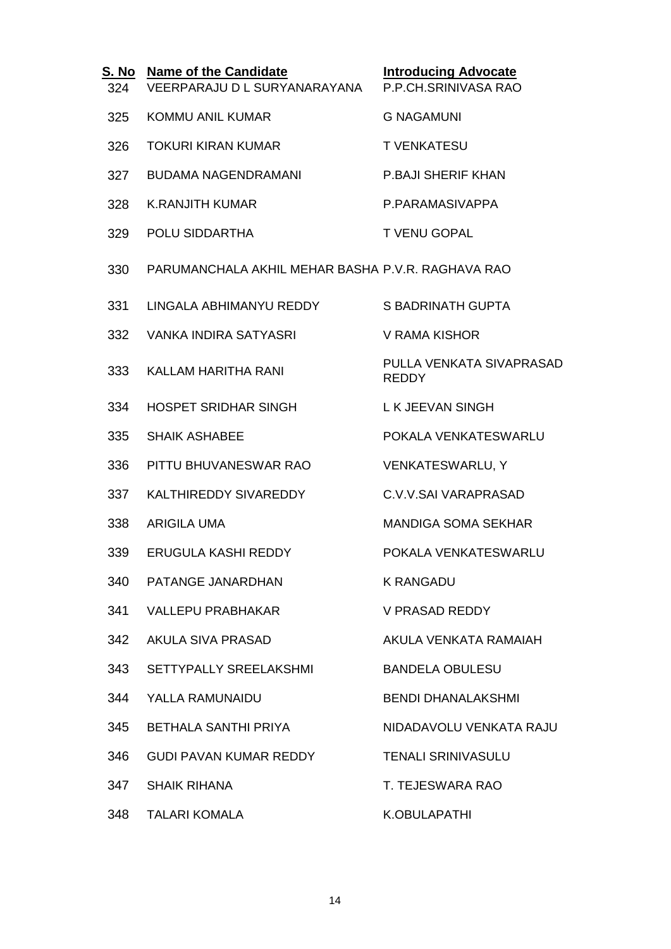| S. No<br>324 | <b>Name of the Candidate</b><br>VEERPARAJU D L SURYANARAYANA | <b>Introducing Advocate</b><br>P.P.CH.SRINIVASA RAO |
|--------------|--------------------------------------------------------------|-----------------------------------------------------|
| 325          | <b>KOMMU ANIL KUMAR</b>                                      | <b>G NAGAMUNI</b>                                   |
| 326          | <b>TOKURI KIRAN KUMAR</b>                                    | <b>T VENKATESU</b>                                  |
| 327          | <b>BUDAMA NAGENDRAMANI</b>                                   | <b>P.BAJI SHERIF KHAN</b>                           |
| 328          | <b>K.RANJITH KUMAR</b>                                       | P.PARAMASIVAPPA                                     |
| 329          | POLU SIDDARTHA                                               | <b>T VENU GOPAL</b>                                 |
| 330          | PARUMANCHALA AKHIL MEHAR BASHA P.V.R. RAGHAVA RAO            |                                                     |
| 331          | LINGALA ABHIMANYU REDDY                                      | <b>S BADRINATH GUPTA</b>                            |
| 332          | <b>VANKA INDIRA SATYASRI</b>                                 | <b>V RAMA KISHOR</b>                                |
| 333          | KALLAM HARITHA RANI                                          | PULLA VENKATA SIVAPRASAD<br><b>REDDY</b>            |
| 334          | HOSPET SRIDHAR SINGH                                         | L K JEEVAN SINGH                                    |
| 335          | <b>SHAIK ASHABEE</b>                                         | POKALA VENKATESWARLU                                |
| 336          | PITTU BHUVANESWAR RAO                                        | <b>VENKATESWARLU, Y</b>                             |
| 337          | KALTHIREDDY SIVAREDDY                                        | C.V.V.SAI VARAPRASAD                                |
| 338          | <b>ARIGILA UMA</b>                                           | <b>MANDIGA SOMA SEKHAR</b>                          |
| 339          | ERUGULA KASHI REDDY                                          | POKALA VENKATESWARLU                                |
| 340          | PATANGE JANARDHAN                                            | <b>K RANGADU</b>                                    |
| 341          | <b>VALLEPU PRABHAKAR</b>                                     | <b>V PRASAD REDDY</b>                               |
| 342          | AKULA SIVA PRASAD                                            | AKULA VENKATA RAMAIAH                               |
| 343          | <b>SETTYPALLY SREELAKSHMI</b>                                | <b>BANDELA OBULESU</b>                              |
| 344          | YALLA RAMUNAIDU                                              | <b>BENDI DHANALAKSHMI</b>                           |
| 345          | BETHALA SANTHI PRIYA                                         | NIDADAVOLU VENKATA RAJU                             |
| 346          | <b>GUDI PAVAN KUMAR REDDY</b>                                | <b>TENALI SRINIVASULU</b>                           |
| 347          | <b>SHAIK RIHANA</b>                                          | T. TEJESWARA RAO                                    |
| 348          | <b>TALARI KOMALA</b>                                         | <b>K.OBULAPATHI</b>                                 |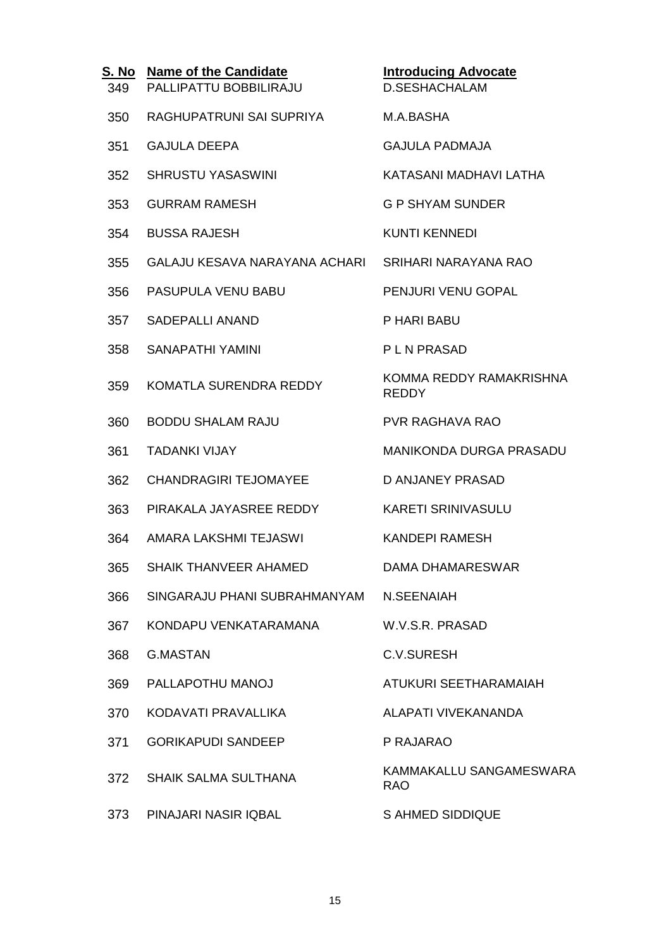| <u>S. No</u><br>349 | <b>Name of the Candidate</b><br>PALLIPATTU BOBBILIRAJU | <b>Introducing Advocate</b><br><b>D.SESHACHALAM</b> |
|---------------------|--------------------------------------------------------|-----------------------------------------------------|
| 350                 | RAGHUPATRUNI SAI SUPRIYA                               | M.A.BASHA                                           |
| 351                 | <b>GAJULA DEEPA</b>                                    | <b>GAJULA PADMAJA</b>                               |
| 352                 | <b>SHRUSTU YASASWINI</b>                               | KATASANI MADHAVI LATHA                              |
| 353                 | <b>GURRAM RAMESH</b>                                   | <b>G P SHYAM SUNDER</b>                             |
| 354                 | <b>BUSSA RAJESH</b>                                    | <b>KUNTI KENNEDI</b>                                |
| 355                 | GALAJU KESAVA NARAYANA ACHARI                          | SRIHARI NARAYANA RAO                                |
| 356                 | PASUPULA VENU BABU                                     | PENJURI VENU GOPAL                                  |
| 357                 | <b>SADEPALLI ANAND</b>                                 | P HARI BABU                                         |
| 358                 | SANAPATHI YAMINI                                       | <b>PLN PRASAD</b>                                   |
| 359                 | KOMATLA SURENDRA REDDY                                 | KOMMA REDDY RAMAKRISHNA<br><b>REDDY</b>             |
| 360                 | <b>BODDU SHALAM RAJU</b>                               | <b>PVR RAGHAVA RAO</b>                              |
| 361                 | <b>TADANKI VIJAY</b>                                   | MANIKONDA DURGA PRASADU                             |
| 362                 | <b>CHANDRAGIRI TEJOMAYEE</b>                           | <b>D ANJANEY PRASAD</b>                             |
| 363                 | PIRAKALA JAYASREE REDDY                                | <b>KARETI SRINIVASULU</b>                           |
| 364                 | AMARA LAKSHMI TEJASWI                                  | KANDEPI RAMESH                                      |
| 365                 | SHAIK THANVEER AHAMED                                  | DAMA DHAMARESWAR                                    |
| 366                 | SINGARAJU PHANI SUBRAHMANYAM                           | N.SEENAIAH                                          |
| 367                 | KONDAPU VENKATARAMANA                                  | W.V.S.R. PRASAD                                     |
| 368                 | G.MASTAN                                               | <b>C.V.SURESH</b>                                   |
| 369                 | PALLAPOTHU MANOJ                                       | ATUKURI SEETHARAMAIAH                               |
| 370                 | KODAVATI PRAVALLIKA                                    | ALAPATI VIVEKANANDA                                 |
| 371                 | <b>GORIKAPUDI SANDEEP</b>                              | P RAJARAO                                           |
| 372                 | <b>SHAIK SALMA SULTHANA</b>                            | KAMMAKALLU SANGAMESWARA<br><b>RAO</b>               |
| 373                 | PINAJARI NASIR IQBAL                                   | <b>S AHMED SIDDIQUE</b>                             |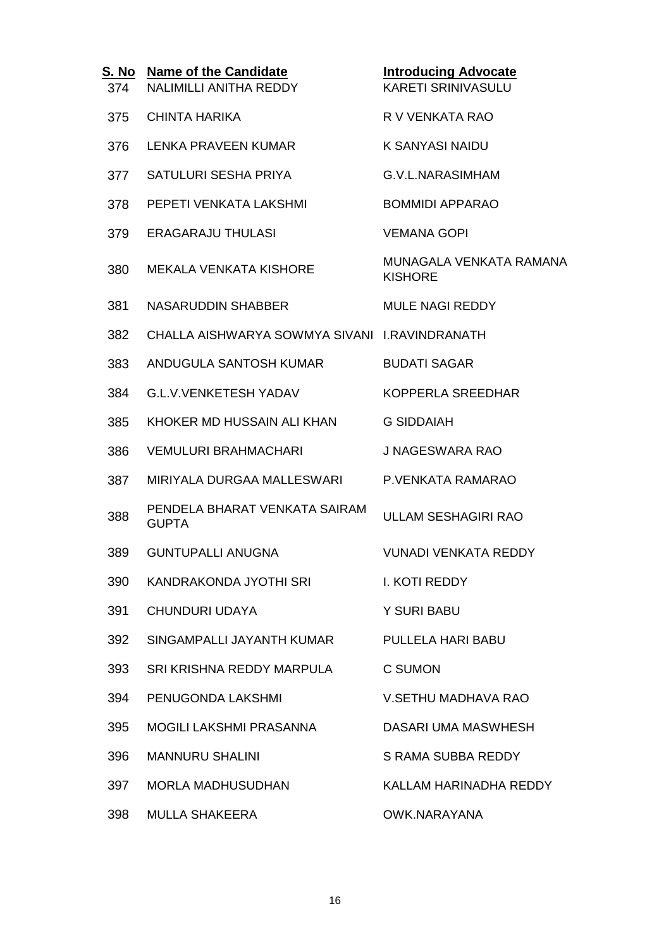| S. No<br>374 | <b>Name of the Candidate</b><br><b>NALIMILLI ANITHA REDDY</b> | <b>Introducing Advocate</b><br><b>KARETI SRINIVASULU</b> |
|--------------|---------------------------------------------------------------|----------------------------------------------------------|
| 375          | CHINTA HARIKA                                                 | R V VENKATA RAO                                          |
| 376          | <b>LENKA PRAVEEN KUMAR</b>                                    | <b>K SANYASI NAIDU</b>                                   |
| 377          | SATULURI SESHA PRIYA                                          | G.V.L.NARASIMHAM                                         |
| 378          | PEPETI VENKATA LAKSHMI                                        | <b>BOMMIDI APPARAO</b>                                   |
| 379          | <b>ERAGARAJU THULASI</b>                                      | <b>VEMANA GOPI</b>                                       |
| 380          | <b>MEKALA VENKATA KISHORE</b>                                 | MUNAGALA VENKATA RAMANA<br><b>KISHORE</b>                |
| 381          | <b>NASARUDDIN SHABBER</b>                                     | <b>MULE NAGI REDDY</b>                                   |
| 382          | CHALLA AISHWARYA SOWMYA SIVANI I.RAVINDRANATH                 |                                                          |
| 383          | ANDUGULA SANTOSH KUMAR                                        | <b>BUDATI SAGAR</b>                                      |
| 384          | <b>G.L.V.VENKETESH YADAV</b>                                  | KOPPERLA SREEDHAR                                        |
| 385          | KHOKER MD HUSSAIN ALI KHAN                                    | <b>G SIDDAIAH</b>                                        |
| 386          | <b>VEMULURI BRAHMACHARI</b>                                   | <b>J NAGESWARA RAO</b>                                   |
| 387          | MIRIYALA DURGAA MALLESWARI                                    | P.VENKATA RAMARAO                                        |
| 388          | PENDELA BHARAT VENKATA SAIRAM<br><b>GUPTA</b>                 | <b>ULLAM SESHAGIRI RAO</b>                               |
| 389          | <b>GUNTUPALLI ANUGNA</b>                                      | <b>VUNADI VENKATA REDDY</b>                              |
| 390          | KANDRAKONDA JYOTHI SRI                                        | I. KOTI REDDY                                            |
| 391          | <b>CHUNDURI UDAYA</b>                                         | Y SURI BABU                                              |
| 392          | SINGAMPALLI JAYANTH KUMAR                                     | PULLELA HARI BABU                                        |
| 393          | SRI KRISHNA REDDY MARPULA                                     | C SUMON                                                  |
| 394          | PENUGONDA LAKSHMI                                             | <b>V.SETHU MADHAVA RAO</b>                               |
| 395          | MOGILI LAKSHMI PRASANNA                                       | DASARI UMA MASWHESH                                      |
| 396          | <b>MANNURU SHALINI</b>                                        | S RAMA SUBBA REDDY                                       |
| 397          | <b>MORLA MADHUSUDHAN</b>                                      | KALLAM HARINADHA REDDY                                   |
| 398          | <b>MULLA SHAKEERA</b>                                         | OWK.NARAYANA                                             |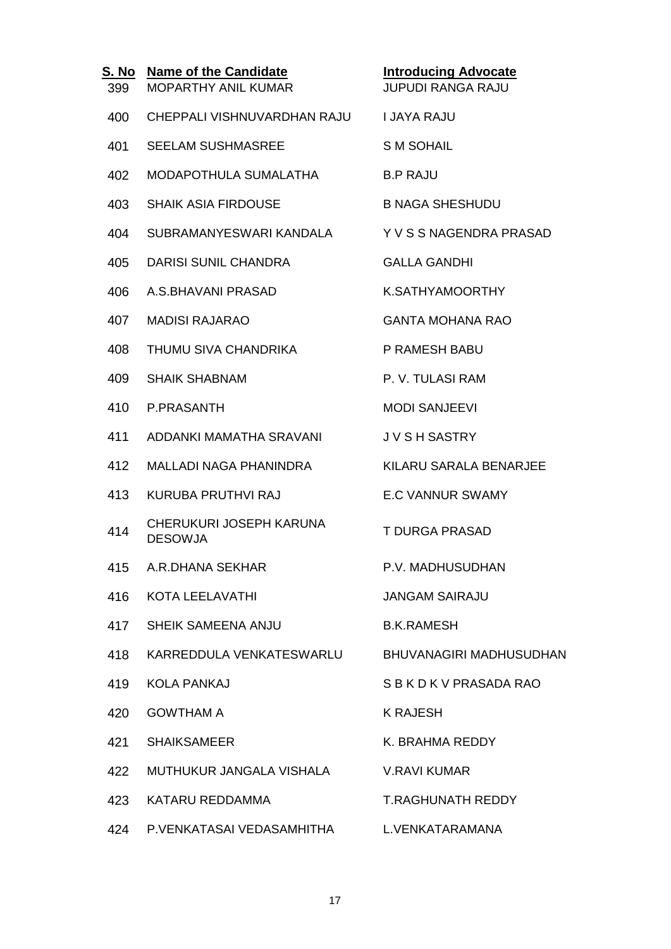| 399 | S. No Name of the Candidate<br><b>MOPARTHY ANIL KUMAR</b> | <b>Introducing Advocate</b><br><b>JUPUDI RANGA RAJU</b> |
|-----|-----------------------------------------------------------|---------------------------------------------------------|
| 400 | CHEPPALI VISHNUVARDHAN RAJU                               | <b>I JAYA RAJU</b>                                      |
| 401 | <b>SEELAM SUSHMASREE</b>                                  | <b>SM SOHAIL</b>                                        |
| 402 | MODAPOTHULA SUMALATHA                                     | <b>B.P RAJU</b>                                         |
| 403 | <b>SHAIK ASIA FIRDOUSE</b>                                | <b>B NAGA SHESHUDU</b>                                  |
| 404 | SUBRAMANYESWARI KANDALA                                   | Y V S S NAGENDRA PRASAD                                 |
| 405 | <b>DARISI SUNIL CHANDRA</b>                               | <b>GALLA GANDHI</b>                                     |
| 406 | A.S. BHAVANI PRASAD                                       | K.SATHYAMOORTHY                                         |
| 407 | <b>MADISI RAJARAO</b>                                     | <b>GANTA MOHANA RAO</b>                                 |
| 408 | THUMU SIVA CHANDRIKA                                      | P RAMESH BABU                                           |
| 409 | <b>SHAIK SHABNAM</b>                                      | P. V. TULASI RAM                                        |
| 410 | <b>P.PRASANTH</b>                                         | <b>MODI SANJEEVI</b>                                    |
| 411 | ADDANKI MAMATHA SRAVANI                                   | <b>JVSH SASTRY</b>                                      |
| 412 | <b>MALLADI NAGA PHANINDRA</b>                             | KILARU SARALA BENARJEE                                  |
| 413 | KURUBA PRUTHVI RAJ                                        | <b>E.C VANNUR SWAMY</b>                                 |
| 414 | CHERUKURI JOSEPH KARUNA<br><b>DESOWJA</b>                 | <b>T DURGA PRASAD</b>                                   |
|     | 415 A.R.DHANA SEKHAR                                      | P.V. MADHUSUDHAN                                        |
| 416 | KOTA LEELAVATHI                                           | <b>JANGAM SAIRAJU</b>                                   |
| 417 | <b>SHEIK SAMEENA ANJU</b>                                 | <b>B.K.RAMESH</b>                                       |
| 418 | KARREDDULA VENKATESWARLU BHUVANAGIRI MADHUSUDHAN          |                                                         |
| 419 | <b>KOLA PANKAJ</b>                                        | SBKDKVPRASADARAO                                        |
| 420 | <b>GOWTHAM A</b>                                          | <b>K RAJESH</b>                                         |
| 421 | <b>SHAIKSAMEER</b>                                        | K. BRAHMA REDDY                                         |
| 422 | MUTHUKUR JANGALA VISHALA                                  | <b>V.RAVI KUMAR</b>                                     |
| 423 | KATARU REDDAMMA                                           | <b>T.RAGHUNATH REDDY</b>                                |
| 424 | P.VENKATASAI VEDASAMHITHA L.VENKATARAMANA                 |                                                         |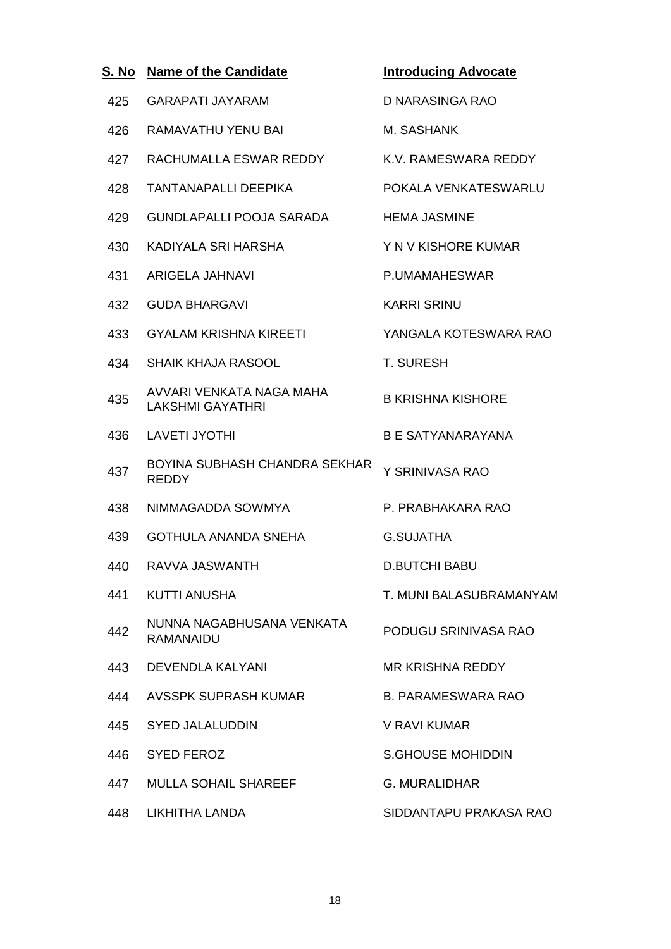| S. No | <b>Name of the Candidate</b>                        | <b>Introducing Advocate</b> |
|-------|-----------------------------------------------------|-----------------------------|
| 425   | <b>GARAPATI JAYARAM</b>                             | D NARASINGA RAO             |
| 426   | <b>RAMAVATHU YENU BAI</b>                           | M. SASHANK                  |
| 427   | RACHUMALLA ESWAR REDDY                              | K.V. RAMESWARA REDDY        |
| 428   | <b>TANTANAPALLI DEEPIKA</b>                         | POKALA VENKATESWARLU        |
| 429   | <b>GUNDLAPALLI POOJA SARADA</b>                     | <b>HEMA JASMINE</b>         |
| 430   | KADIYALA SRI HARSHA                                 | Y N V KISHORE KUMAR         |
| 431   | ARIGELA JAHNAVI                                     | P.UMAMAHESWAR               |
| 432   | <b>GUDA BHARGAVI</b>                                | <b>KARRI SRINU</b>          |
| 433   | <b>GYALAM KRISHNA KIREETI</b>                       | YANGALA KOTESWARA RAO       |
| 434   | <b>SHAIK KHAJA RASOOL</b>                           | <b>T. SURESH</b>            |
| 435   | AVVARI VENKATA NAGA MAHA<br><b>LAKSHMI GAYATHRI</b> | <b>B KRISHNA KISHORE</b>    |
| 436   | <b>LAVETI JYOTHI</b>                                | <b>B E SATYANARAYANA</b>    |
| 437   | BOYINA SUBHASH CHANDRA SEKHAR<br><b>REDDY</b>       | Y SRINIVASA RAO             |
| 438   | NIMMAGADDA SOWMYA                                   | P. PRABHAKARA RAO           |
| 439   | <b>GOTHULA ANANDA SNEHA</b>                         | <b>G.SUJATHA</b>            |
| 440   | RAVVA JASWANTH                                      | <b>D.BUTCHI BABU</b>        |
| 441   | <b>KUTTI ANUSHA</b>                                 | T. MUNI BALASUBRAMANYAM     |
| 442   | NUNNA NAGABHUSANA VENKATA<br><b>RAMANAIDU</b>       | PODUGU SRINIVASA RAO        |
| 443   | <b>DEVENDLA KALYANI</b>                             | <b>MR KRISHNA REDDY</b>     |
| 444   | <b>AVSSPK SUPRASH KUMAR</b>                         | <b>B. PARAMESWARA RAO</b>   |
| 445   | <b>SYED JALALUDDIN</b>                              | V RAVI KUMAR                |
| 446   | <b>SYED FEROZ</b>                                   | <b>S.GHOUSE MOHIDDIN</b>    |
| 447   | <b>MULLA SOHAIL SHAREEF</b>                         | <b>G. MURALIDHAR</b>        |
| 448   | LIKHITHA LANDA                                      | SIDDANTAPU PRAKASA RAO      |